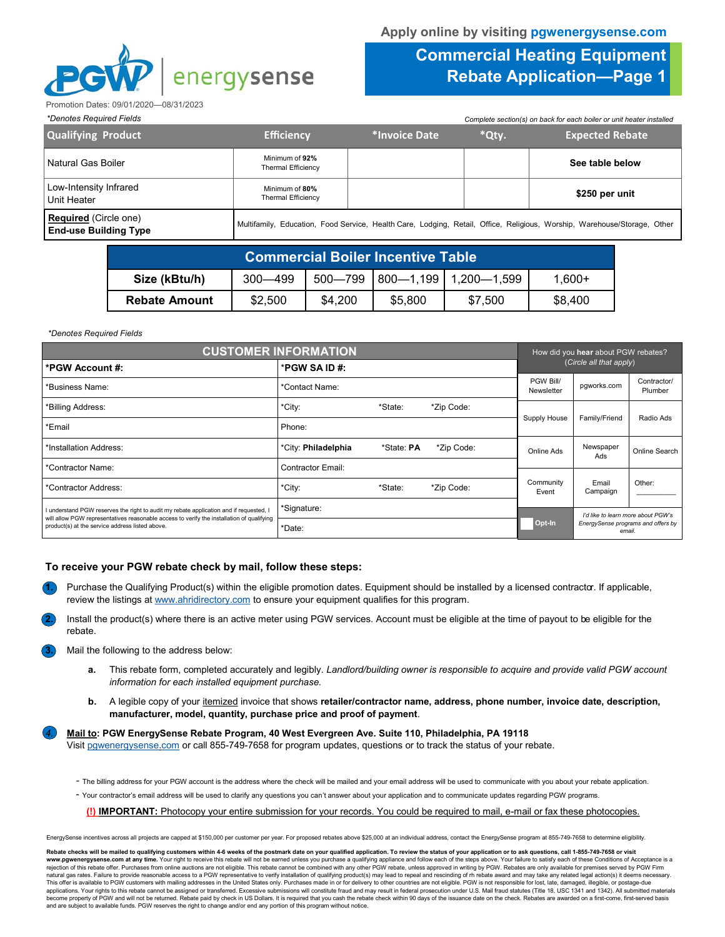

## **Commercial Heating Equipment Rebate Application—Page 1**

Promotion Dates: 09/01/2020—08/31/2023

| *Denotes Required Fields                              |                                             |               | Complete section(s) on back for each boiler or unit heater installed |                                                                                                                          |
|-------------------------------------------------------|---------------------------------------------|---------------|----------------------------------------------------------------------|--------------------------------------------------------------------------------------------------------------------------|
| <b>Qualifying Product</b>                             | <b>Efficiency</b>                           | *Invoice Date | *Qty.                                                                | <b>Expected Rebate</b>                                                                                                   |
| Natural Gas Boiler                                    | Minimum of 92%<br>Thermal Efficiency        |               |                                                                      | See table below                                                                                                          |
| Low-Intensity Infrared<br>Unit Heater                 | Minimum of 80%<br><b>Thermal Efficiency</b> |               |                                                                      | \$250 per unit                                                                                                           |
| Required (Circle one)<br><b>End-use Building Type</b> |                                             |               |                                                                      | Multifamily, Education, Food Service, Health Care, Lodging, Retail, Office, Religious, Worship, Warehouse/Storage, Other |

| <b>Commercial Boiler Incentive Table</b> |             |         |         |                                |          |  |
|------------------------------------------|-------------|---------|---------|--------------------------------|----------|--|
| Size (kBtu/h)                            | $300 - 499$ | 500-799 |         | $1800 - 1199$   1,200 $-1.599$ | $1.600+$ |  |
| <b>Rebate Amount</b>                     | \$2,500     | \$4.200 | \$5,800 | \$7.500                        | \$8.400  |  |

## *\*Denotes Required Fields*

| <b>CUSTOMER INFORMATION</b>                                                                                                                  |                          |            |              |                                    | How did you hear about PGW rebates? |                                    |  |
|----------------------------------------------------------------------------------------------------------------------------------------------|--------------------------|------------|--------------|------------------------------------|-------------------------------------|------------------------------------|--|
| *PGW Account #:                                                                                                                              | *PGW SA ID #:            |            |              | (Circle all that apply)            |                                     |                                    |  |
| *Business Name:                                                                                                                              | *Contact Name:           |            |              | PGW Bill/<br>Newsletter            | pgworks.com                         | Contractor/<br>Plumber             |  |
| *City:<br>*State:<br>*Zip Code:<br>*Billing Address:                                                                                         |                          |            |              |                                    |                                     |                                    |  |
| *Email                                                                                                                                       | Phone:                   |            | Supply House | Family/Friend                      | Radio Ads                           |                                    |  |
| *Installation Address:                                                                                                                       | *City: Philadelphia      | *State: PA | *Zip Code:   | Online Ads                         | Newspaper<br>Ads                    | Online Search                      |  |
| *Contractor Name:                                                                                                                            | <b>Contractor Email:</b> |            |              |                                    |                                     |                                    |  |
| *Contractor Address:                                                                                                                         | *City:                   | *State:    | *Zip Code:   | Community<br>Event                 | Email<br>Campaign                   | Other:                             |  |
| I understand PGW reserves the right to audit my rebate application and if requested, I                                                       | *Signature:              |            |              | I'd like to learn more about PGW's |                                     |                                    |  |
| will allow PGW representatives reasonable access to verify the installation of qualifying<br>product(s) at the service address listed above. | *Date:                   |            |              | Opt-In                             | email.                              | EnergySense programs and offers by |  |

## **To receive your PGW rebate check by mail, follow these steps:**

- **1.** Purchase the Qualifying Product(s) within the eligible promotion dates. Equipment should be installed by a licensed contractor. If applicable, review the listings at www.ahridirectory.com to ensure your equipment qualifies for this program.
- **2.** Install the product(s) where there is an active meter using PGW services. Account must be eligible at the time of payout to be eligible for the rebate.
- **3.** Mail the following to the address below:
	- **a.** This rebate form, completed accurately and legibly. *Landlord/building owner is responsible to acquire and provide valid PGW account information for each installed equipment purchase.*
	- **b.** A legible copy of your itemized invoice that shows **retailer/contractor name, address, phone number, invoice date, description, manufacturer, model, quantity, purchase price and proof of payment**.

*4.* **Mail to: PGW EnergySense Rebate Program, 40 West Evergreen Ave. Suite 110, Philadelphia, PA 19118**

Visit pgwenergysense.com or call 855-749-7658 for program updates, questions or to track the status of your rebate.

- The billing address for your PGW account is the address where the check will be mailed and your email address will be used to communicate with you about your rebate application.
- Your contractor's email address will be used to clarify any questions you can't answer about your application and to communicate updates regarding PGW programs.

**(!) IMPORTANT:** Photocopy your entire submission for your records. You could be required to mail, e-mail or fax these photocopies.

EnergySense incentives across all projects are capped at \$150,000 per customer per year. For proposed rebates above \$25,000 at an individual address, contact the EnergySense program at 855-749-7658 to determine eligibility

Rebate checks will be mailed to qualifying customers within 4-6 weeks of the postmark date on your qualified application. To review the status of your application or to ask questions, call 1-855-749-7658 or visit<br>www.pgwen rejection of this rebate offer. Purchases from online auctions are not eligible. This rebate cannot be combined with any other PGW rebate, unless approved in writing by PGW. Rebates are only available for premises served b natural gas rates. Failure to provide reasonable access to a PGW representative to verify installation of qualifying product(s) may lead to repeal and rescinding of m rebate award and may take any related legal action(s) i This offer is available to PGW customers with mailing addresses in the United States only. Purchases made in or for delivery to other countries are not eligible. PGW is not responsible for lost, late, damaged, illegible, o become property of PGW and will not be returned. Rebate paid by check in US Dollars. It is required that you cash the rebate check within 90 days of the issuance date on the check. Rebates are awarded on a first-come, firs